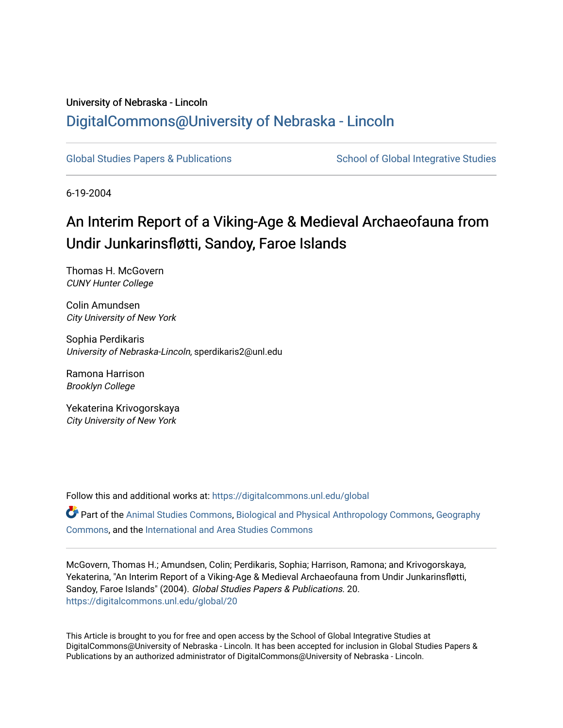# University of Nebraska - Lincoln [DigitalCommons@University of Nebraska - Lincoln](https://digitalcommons.unl.edu/)

[Global Studies Papers & Publications](https://digitalcommons.unl.edu/global) School of Global Integrative Studies

6-19-2004

# An Interim Report of a Viking-Age & Medieval Archaeofauna from Undir Junkarinsfløtti, Sandoy, Faroe Islands

Thomas H. McGovern CUNY Hunter College

Colin Amundsen City University of New York

Sophia Perdikaris University of Nebraska-Lincoln, sperdikaris2@unl.edu

Ramona Harrison Brooklyn College

Yekaterina Krivogorskaya City University of New York

Follow this and additional works at: [https://digitalcommons.unl.edu/global](https://digitalcommons.unl.edu/global?utm_source=digitalcommons.unl.edu%2Fglobal%2F20&utm_medium=PDF&utm_campaign=PDFCoverPages) 

Part of the [Animal Studies Commons,](http://network.bepress.com/hgg/discipline/1306?utm_source=digitalcommons.unl.edu%2Fglobal%2F20&utm_medium=PDF&utm_campaign=PDFCoverPages) [Biological and Physical Anthropology Commons](http://network.bepress.com/hgg/discipline/320?utm_source=digitalcommons.unl.edu%2Fglobal%2F20&utm_medium=PDF&utm_campaign=PDFCoverPages), [Geography](http://network.bepress.com/hgg/discipline/354?utm_source=digitalcommons.unl.edu%2Fglobal%2F20&utm_medium=PDF&utm_campaign=PDFCoverPages) [Commons](http://network.bepress.com/hgg/discipline/354?utm_source=digitalcommons.unl.edu%2Fglobal%2F20&utm_medium=PDF&utm_campaign=PDFCoverPages), and the [International and Area Studies Commons](http://network.bepress.com/hgg/discipline/360?utm_source=digitalcommons.unl.edu%2Fglobal%2F20&utm_medium=PDF&utm_campaign=PDFCoverPages) 

McGovern, Thomas H.; Amundsen, Colin; Perdikaris, Sophia; Harrison, Ramona; and Krivogorskaya, Yekaterina, "An Interim Report of a Viking-Age & Medieval Archaeofauna from Undir Junkarinsfløtti, Sandoy, Faroe Islands" (2004). Global Studies Papers & Publications. 20. [https://digitalcommons.unl.edu/global/20](https://digitalcommons.unl.edu/global/20?utm_source=digitalcommons.unl.edu%2Fglobal%2F20&utm_medium=PDF&utm_campaign=PDFCoverPages)

This Article is brought to you for free and open access by the School of Global Integrative Studies at DigitalCommons@University of Nebraska - Lincoln. It has been accepted for inclusion in Global Studies Papers & Publications by an authorized administrator of DigitalCommons@University of Nebraska - Lincoln.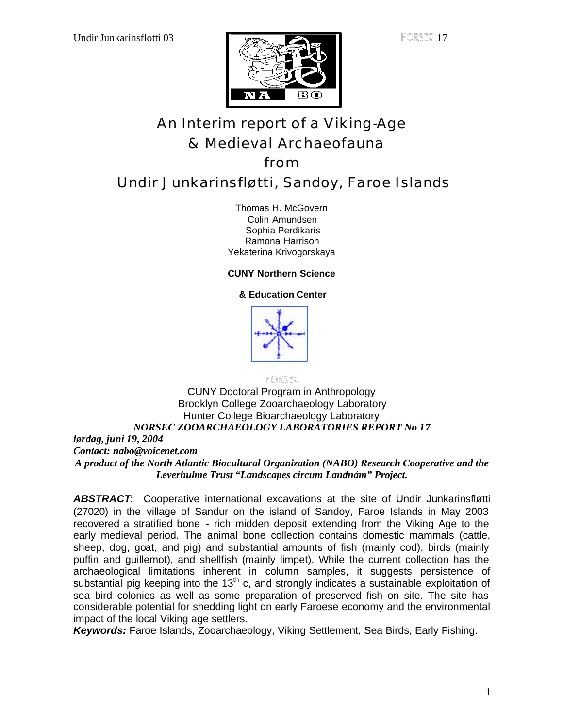

# An Interim report of a Viking-Age & Medieval Archaeofauna from

# Undir Junkarinsfløtti, Sandoy, Faroe Islands

Thomas H. McGovern Colin Amundsen Sophia Perdikaris Ramona Harrison Yekaterina Krivogorskaya

# **CUNY Northern Science**

# **& Education Center**



NORSEC

### CUNY Doctoral Program in Anthropology Brooklyn College Zooarchaeology Laboratory Hunter College Bioarchaeology Laboratory *NORSEC ZOOARCHAEOLOGY LABORATORIES REPORT No 17 lørdag, juni 19, 2004 Contact: nabo@voicenet.com A product of the North Atlantic Biocultural Organization (NABO) Research Cooperative and the Leverhulme Trust "Landscapes circum Landnám" Project.*

*ABSTRACT*: Cooperative international excavations at the site of Undir Junkarinsfløtti (27020) in the village of Sandur on the island of Sandoy, Faroe Islands in May 2003 recovered a stratified bone - rich midden deposit extending from the Viking Age to the early medieval period. The animal bone collection contains domestic mammals (cattle, sheep, dog, goat, and pig) and substantial amounts of fish (mainly cod), birds (mainly puffin and guillemot), and shellfish (mainly limpet). While the current collection has the archaeological limitations inherent in column samples, it suggests persistence of substantial pig keeping into the 13<sup>th</sup> c, and strongly indicates a sustainable exploitation of sea bird colonies as well as some preparation of preserved fish on site. The site has considerable potential for shedding light on early Faroese economy and the environmental impact of the local Viking age settlers.

*Keywords:* Faroe Islands, Zooarchaeology, Viking Settlement, Sea Birds, Early Fishing.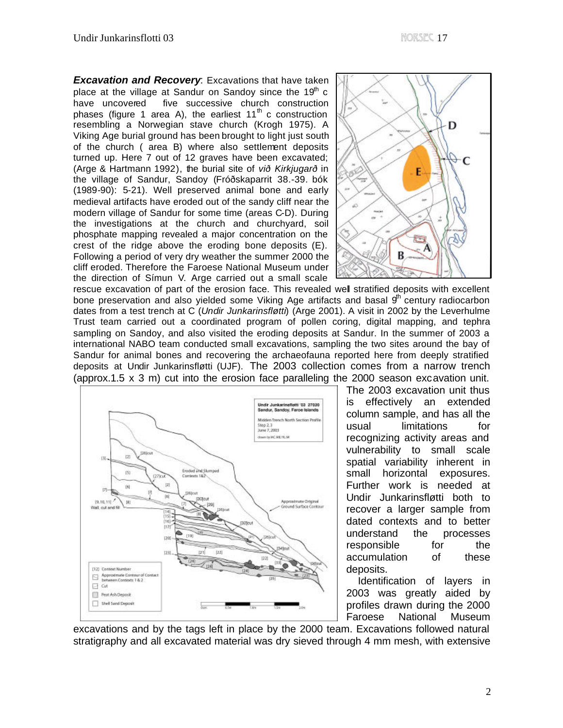*Excavation and Recovery*: Excavations that have taken place at the village at Sandur on Sandoy since the 19<sup>th</sup> c have uncovered five successive church construction phases (figure 1 area A), the earliest  $11<sup>th</sup>$  c construction resembling a Norwegian stave church (Krogh 1975). A Viking Age burial ground has been brought to light just south of the church ( area B) where also settlement deposits turned up. Here 7 out of 12 graves have been excavated; (Arge & Hartmann 1992), the burial site of *við Kirkjugarð* in the village of Sandur, Sandoy (Fróðskaparrit 38.-39. bók (1989-90): 5-21). Well preserved animal bone and early medieval artifacts have eroded out of the sandy cliff near the modern village of Sandur for some time (areas C-D). During the investigations at the church and churchyard, soil phosphate mapping revealed a major concentration on the crest of the ridge above the eroding bone deposits (E). Following a period of very dry weather the summer 2000 the cliff eroded. Therefore the Faroese National Museum under the direction of Símun V. Arge carried out a small scale



rescue excavation of part of the erosion face. This revealed well stratified deposits with excellent bone preservation and also yielded some Viking Age artifacts and basal  $9<sup>th</sup>$  century radiocarbon dates from a test trench at C (*Undir Junkarinsfløtti*) (Arge 2001). A visit in 2002 by the Leverhulme Trust team carried out a coordinated program of pollen coring, digital mapping, and tephra sampling on Sandoy, and also visited the eroding deposits at Sandur. In the summer of 2003 a international NABO team conducted small excavations, sampling the two sites around the bay of Sandur for animal bones and recovering the archaeofauna reported here from deeply stratified deposits at Undir Junkarinsfløtti (UJF). The 2003 collection comes from a narrow trench (approx.1.5 x 3 m) cut into the erosion face paralleling the 2000 season excavation unit.



The 2003 excavation unit thus is effectively an extended column sample, and has all the usual limitations for recognizing activity areas and vulnerability to small scale spatial variability inherent in small horizontal exposures. Further work is needed at Undir Junkarinsfløtti both to recover a larger sample from dated contexts and to better understand the processes responsible for the accumulation of these deposits.

 Identification of layers in 2003 was greatly aided by profiles drawn during the 2000 Faroese National Museum

excavations and by the tags left in place by the 2000 team. Excavations followed natural stratigraphy and all excavated material was dry sieved through 4 mm mesh, with extensive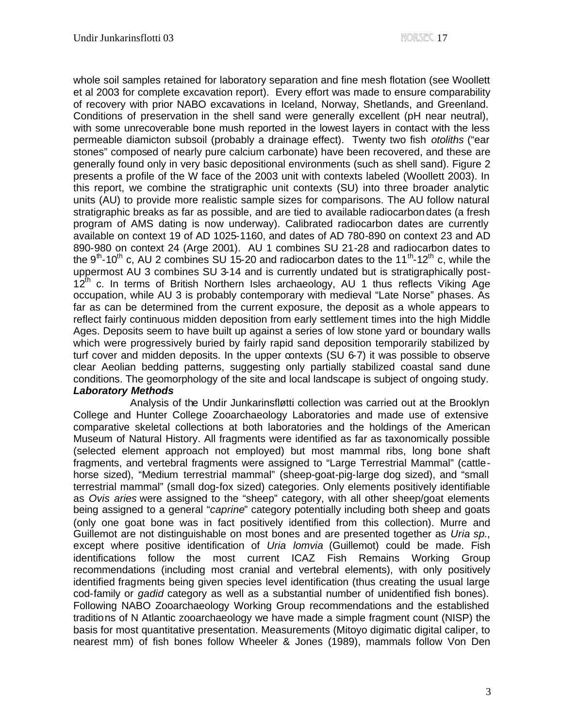whole soil samples retained for laboratory separation and fine mesh flotation (see Woollett et al 2003 for complete excavation report). Every effort was made to ensure comparability of recovery with prior NABO excavations in Iceland, Norway, Shetlands, and Greenland. Conditions of preservation in the shell sand were generally excellent (pH near neutral), with some unrecoverable bone mush reported in the lowest layers in contact with the less permeable diamicton subsoil (probably a drainage effect). Twenty two fish *otoliths* ("ear stones" composed of nearly pure calcium carbonate) have been recovered, and these are generally found only in very basic depositional environments (such as shell sand). Figure 2 presents a profile of the W face of the 2003 unit with contexts labeled (Woollett 2003). In this report, we combine the stratigraphic unit contexts (SU) into three broader analytic units (AU) to provide more realistic sample sizes for comparisons. The AU follow natural stratigraphic breaks as far as possible, and are tied to available radiocarbon dates (a fresh program of AMS dating is now underway). Calibrated radiocarbon dates are currently available on context 19 of AD 1025-1160, and dates of AD 780-890 on context 23 and AD 890-980 on context 24 (Arge 2001). AU 1 combines SU 21-28 and radiocarbon dates to the 9<sup>th</sup>-10<sup>th</sup> c, AU 2 combines SU 15-20 and radiocarbon dates to the 11<sup>th</sup>-12<sup>th</sup> c, while the uppermost AU 3 combines SU 3-14 and is currently undated but is stratigraphically post- $12<sup>th</sup>$  c. In terms of British Northern Isles archaeology, AU 1 thus reflects Viking Age occupation, while AU 3 is probably contemporary with medieval "Late Norse" phases. As far as can be determined from the current exposure, the deposit as a whole appears to reflect fairly continuous midden deposition from early settlement times into the high Middle Ages. Deposits seem to have built up against a series of low stone yard or boundary walls which were progressively buried by fairly rapid sand deposition temporarily stabilized by turf cover and midden deposits. In the upper contexts (SU 6-7) it was possible to observe clear Aeolian bedding patterns, suggesting only partially stabilized coastal sand dune conditions. The geomorphology of the site and local landscape is subject of ongoing study. *Laboratory Methods*

Analysis of the Undir Junkarinsfløtti collection was carried out at the Brooklyn College and Hunter College Zooarchaeology Laboratories and made use of extensive comparative skeletal collections at both laboratories and the holdings of the American Museum of Natural History. All fragments were identified as far as taxonomically possible (selected element approach not employed) but most mammal ribs, long bone shaft fragments, and vertebral fragments were assigned to "Large Terrestrial Mammal" (cattlehorse sized), "Medium terrestrial mammal" (sheep-goat-pig-large dog sized), and "small terrestrial mammal" (small dog-fox sized) categories. Only elements positively identifiable as *Ovis aries* were assigned to the "sheep" category, with all other sheep/goat elements being assigned to a general "*caprine*" category potentially including both sheep and goats (only one goat bone was in fact positively identified from this collection). Murre and Guillemot are not distinguishable on most bones and are presented together as *Uria sp*., except where positive identification of *Uria lomvia* (Guillemot) could be made. Fish identifications follow the most current ICAZ Fish Remains Working Group recommendations (including most cranial and vertebral elements), with only positively identified fragments being given species level identification (thus creating the usual large cod-family or *gadid* category as well as a substantial number of unidentified fish bones). Following NABO Zooarchaeology Working Group recommendations and the established traditions of N Atlantic zooarchaeology we have made a simple fragment count (NISP) the basis for most quantitative presentation. Measurements (Mitoyo digimatic digital caliper, to nearest mm) of fish bones follow Wheeler & Jones (1989), mammals follow Von Den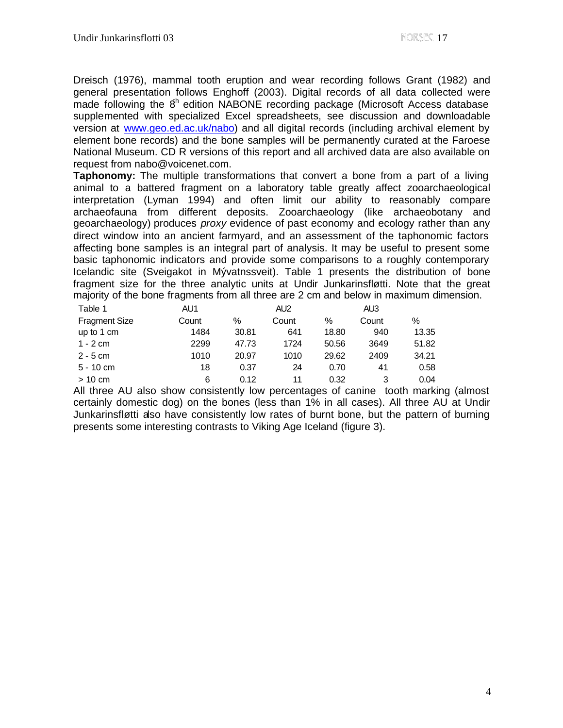Dreisch (1976), mammal tooth eruption and wear recording follows Grant (1982) and general presentation follows Enghoff (2003). Digital records of all data collected were made following the  $8<sup>h</sup>$  edition NABONE recording package (Microsoft Access database supplemented with specialized Excel spreadsheets, see discussion and downloadable version at www.geo.ed.ac.uk/nabo) and all digital records (including archival element by element bone records) and the bone samples will be permanently curated at the Faroese National Museum. CD R versions of this report and all archived data are also available on request from nabo@voicenet.com.

**Taphonomy:** The multiple transformations that convert a bone from a part of a living animal to a battered fragment on a laboratory table greatly affect zooarchaeological interpretation (Lyman 1994) and often limit our ability to reasonably compare archaeofauna from different deposits. Zooarchaeology (like archaeobotany and geoarchaeology) produces *proxy* evidence of past economy and ecology rather than any direct window into an ancient farmyard, and an assessment of the taphonomic factors affecting bone samples is an integral part of analysis. It may be useful to present some basic taphonomic indicators and provide some comparisons to a roughly contemporary Icelandic site (Sveigakot in Mývatnssveit). Table 1 presents the distribution of bone fragment size for the three analytic units at Undir Junkarinsfløtti. Note that the great majority of the bone fragments from all three are 2 cm and below in maximum dimension.

| Table 1              | AU1   |       | AU <sub>2</sub> |       | AU3   |       |
|----------------------|-------|-------|-----------------|-------|-------|-------|
| <b>Fragment Size</b> | Count | $\%$  | Count           | $\%$  | Count | ℅     |
| up to 1 cm           | 1484  | 30.81 | 641             | 18.80 | 940   | 13.35 |
| $1 - 2$ cm           | 2299  | 47.73 | 1724            | 50.56 | 3649  | 51.82 |
| $2 - 5$ cm           | 1010  | 20.97 | 1010            | 29.62 | 2409  | 34.21 |
| $5 - 10$ cm          | 18    | 0.37  | 24              | 0.70  | 41    | 0.58  |
| $>10$ cm             | 6     | 0.12  | 11              | 0.32  | 3     | 0.04  |

All three AU also show consistently low percentages of canine tooth marking (almost certainly domestic dog) on the bones (less than 1% in all cases). All three AU at Undir Junkarinsfløtti also have consistently low rates of burnt bone, but the pattern of burning presents some interesting contrasts to Viking Age Iceland (figure 3).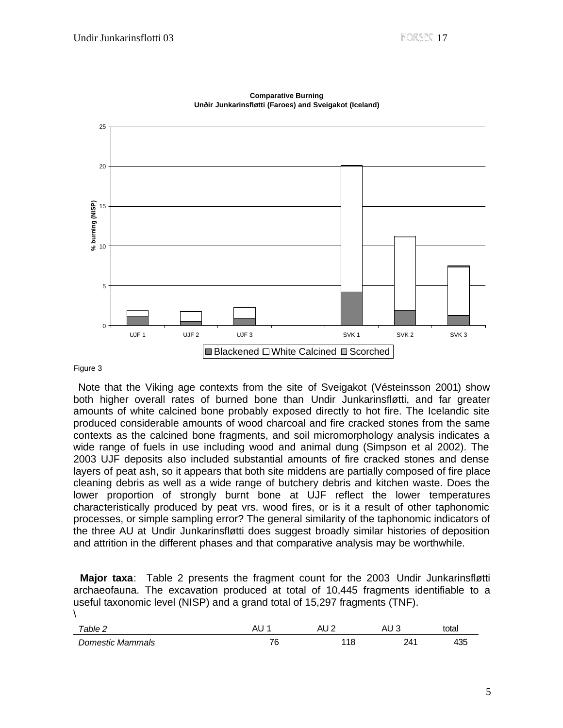

**Comparative Burning Unðir Junkarinsfløtti (Faroes) and Sveigakot (Iceland)**

#### Figure 3

 Note that the Viking age contexts from the site of Sveigakot (Vésteinsson 2001) show both higher overall rates of burned bone than Undir Junkarinsfløtti, and far greater amounts of white calcined bone probably exposed directly to hot fire. The Icelandic site produced considerable amounts of wood charcoal and fire cracked stones from the same contexts as the calcined bone fragments, and soil micromorphology analysis indicates a wide range of fuels in use including wood and animal dung (Simpson et al 2002). The 2003 UJF deposits also included substantial amounts of fire cracked stones and dense layers of peat ash, so it appears that both site middens are partially composed of fire place cleaning debris as well as a wide range of butchery debris and kitchen waste. Does the lower proportion of strongly burnt bone at UJF reflect the lower temperatures characteristically produced by peat vrs. wood fires, or is it a result of other taphonomic processes, or simple sampling error? The general similarity of the taphonomic indicators of the three AU at Undir Junkarinsfløtti does suggest broadly similar histories of deposition and attrition in the different phases and that comparative analysis may be worthwhile.

 **Major taxa**: Table 2 presents the fragment count for the 2003 Undir Junkarinsfløtti archaeofauna. The excavation produced at total of 10,445 fragments identifiable to a useful taxonomic level (NISP) and a grand total of 15,297 fragments (TNF).  $\lambda$ 

| $\tau$ able 2    | ∼י  | A<br>∼י | AU ວ | total      |
|------------------|-----|---------|------|------------|
| Domestic Mammals | 76. | 118     | 241  | ハつに<br>+ວບ |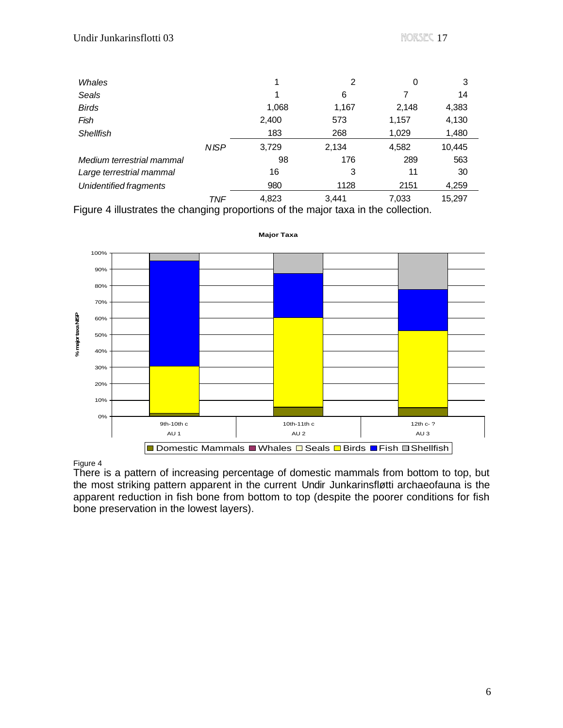| Whales                    |            |       | 2     | 0     | 3      |
|---------------------------|------------|-------|-------|-------|--------|
| Seals                     |            | 1     | 6     |       | 14     |
| <b>Birds</b>              |            | 1,068 | 1,167 | 2,148 | 4,383  |
| Fish                      |            | 2,400 | 573   | 1,157 | 4,130  |
| Shellfish                 |            | 183   | 268   | 1,029 | 1,480  |
|                           | NISP       | 3,729 | 2,134 | 4,582 | 10,445 |
| Medium terrestrial mammal |            | 98    | 176   | 289   | 563    |
| Large terrestrial mammal  |            | 16    | 3     | 11    | 30     |
| Unidentified fragments    |            | 980   | 1128  | 2151  | 4,259  |
|                           | <b>TNF</b> | 4,823 | 3.441 | 7,033 | 15,297 |

Figure 4 illustrates the changing proportions of the major taxa in the collection.



**Major Taxa**

#### Figure 4

There is a pattern of increasing percentage of domestic mammals from bottom to top, but the most striking pattern apparent in the current Undir Junkarinsfløtti archaeofauna is the apparent reduction in fish bone from bottom to top (despite the poorer conditions for fish bone preservation in the lowest layers).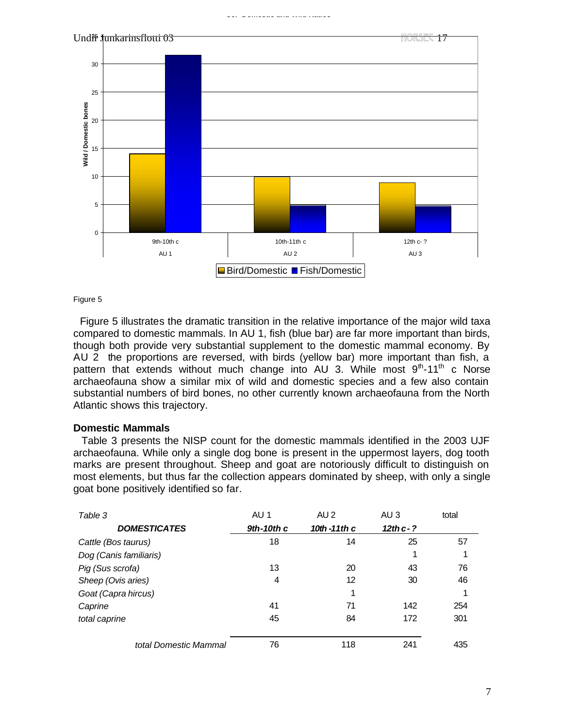**UJF Domestic and Wild Ratios**



Figure 5

 Figure 5 illustrates the dramatic transition in the relative importance of the major wild taxa compared to domestic mammals. In AU 1, fish (blue bar) are far more important than birds, though both provide very substantial supplement to the domestic mammal economy. By AU 2 the proportions are reversed, with birds (yellow bar) more important than fish, a pattern that extends without much change into AU 3. While most 9<sup>th</sup>-11<sup>th</sup> c Norse archaeofauna show a similar mix of wild and domestic species and a few also contain substantial numbers of bird bones, no other currently known archaeofauna from the North Atlantic shows this trajectory.

#### **Domestic Mammals**

 Table 3 presents the NISP count for the domestic mammals identified in the 2003 UJF archaeofauna. While only a single dog bone is present in the uppermost layers, dog tooth marks are present throughout. Sheep and goat are notoriously difficult to distinguish on most elements, but thus far the collection appears dominated by sheep, with only a single goat bone positively identified so far.

| Table 3                | AU 1         | AU <sub>2</sub> | AU <sub>3</sub> | total |
|------------------------|--------------|-----------------|-----------------|-------|
| <b>DOMESTICATES</b>    | $9th-10th$ c | 10th $-11$ th c | $12thc-?$       |       |
| Cattle (Bos taurus)    | 18           | 14              | 25              | 57    |
| Dog (Canis familiaris) |              |                 | 1               | 1     |
| Pig (Sus scrofa)       | 13           | 20              | 43              | 76    |
| Sheep (Ovis aries)     | 4            | 12              | 30              | 46    |
| Goat (Capra hircus)    |              | 1               |                 | 1     |
| Caprine                | 41           | 71              | 142             | 254   |
| total caprine          | 45           | 84              | 172             | 301   |
|                        |              |                 |                 |       |
| total Domestic Mammal  | 76           | 118             | 241             | 435   |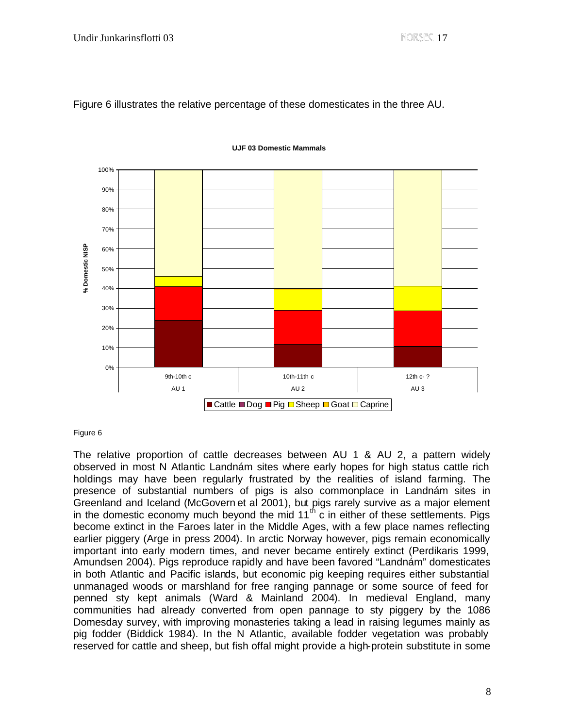Figure 6 illustrates the relative percentage of these domesticates in the three AU.



**UJF 03 Domestic Mammals**

#### Figure 6

The relative proportion of cattle decreases between AU 1 & AU 2, a pattern widely observed in most N Atlantic Landnám sites where early hopes for high status cattle rich holdings may have been regularly frustrated by the realities of island farming. The presence of substantial numbers of pigs is also commonplace in Landnám sites in Greenland and Iceland (McGovern et al 2001), but pigs rarely survive as a major element in the domestic economy much beyond the mid  $11^{th}$  c in either of these settlements. Pigs become extinct in the Faroes later in the Middle Ages, with a few place names reflecting earlier piggery (Arge in press 2004). In arctic Norway however, pigs remain economically important into early modern times, and never became entirely extinct (Perdikaris 1999, Amundsen 2004). Pigs reproduce rapidly and have been favored "Landnám" domesticates in both Atlantic and Pacific islands, but economic pig keeping requires either substantial unmanaged woods or marshland for free ranging pannage or some source of feed for penned sty kept animals (Ward & Mainland 2004). In medieval England, many communities had already converted from open pannage to sty piggery by the 1086 Domesday survey, with improving monasteries taking a lead in raising legumes mainly as pig fodder (Biddick 1984). In the N Atlantic, available fodder vegetation was probably reserved for cattle and sheep, but fish offal might provide a high-protein substitute in some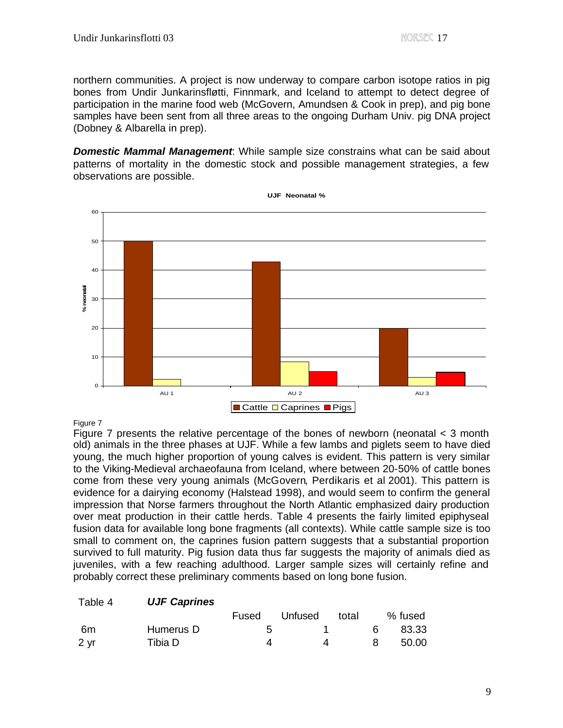northern communities. A project is now underway to compare carbon isotope ratios in pig bones from Undir Junkarinsfløtti, Finnmark, and Iceland to attempt to detect degree of participation in the marine food web (McGovern, Amundsen & Cook in prep), and pig bone samples have been sent from all three areas to the ongoing Durham Univ. pig DNA project (Dobney & Albarella in prep).

*Domestic Mammal Management*: While sample size constrains what can be said about patterns of mortality in the domestic stock and possible management strategies, a few observations are possible.

**UJF Neonatal %**



#### Figure 7

Figure 7 presents the relative percentage of the bones of newborn (neonatal < 3 month old) animals in the three phases at UJF. While a few lambs and piglets seem to have died young, the much higher proportion of young calves is evident. This pattern is very similar to the Viking-Medieval archaeofauna from Iceland, where between 20-50% of cattle bones come from these very young animals (McGovern, Perdikaris et al 2001). This pattern is evidence for a dairying economy (Halstead 1998), and would seem to confirm the general impression that Norse farmers throughout the North Atlantic emphasized dairy production over meat production in their cattle herds. Table 4 presents the fairly limited epiphyseal fusion data for available long bone fragments (all contexts). While cattle sample size is too small to comment on, the caprines fusion pattern suggests that a substantial proportion survived to full maturity. Pig fusion data thus far suggests the majority of animals died as juveniles, with a few reaching adulthood. Larger sample sizes will certainly refine and probably correct these preliminary comments based on long bone fusion.

## Table 4 *UJF Caprines*

|      |           | Fused | Unfused | total |    | % fused |
|------|-----------|-------|---------|-------|----|---------|
| 6m   | Humerus D |       |         |       | 6. | 83.33   |
| 2 yr | Tibia D   |       |         |       |    | 50.00   |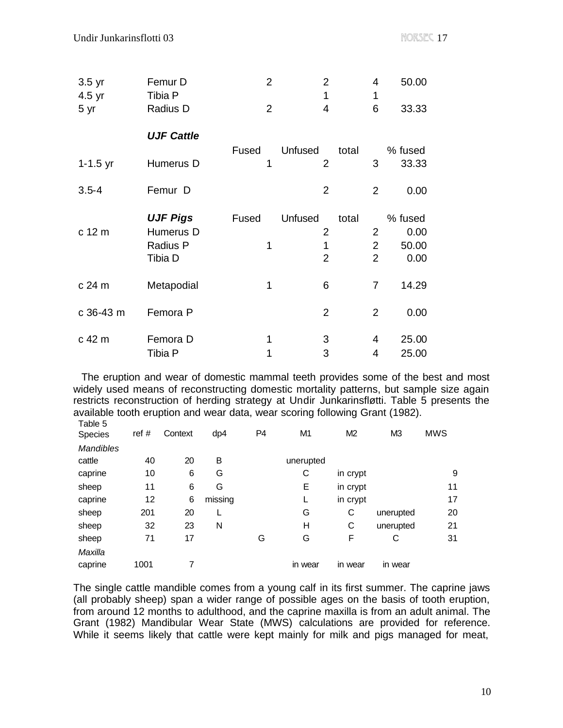| $3.5$ yr<br>4.5 yr | Femur D<br>Tibia P | $\overline{2}$ | $\overline{2}$<br>1       | 4<br>1         | 50.00            |
|--------------------|--------------------|----------------|---------------------------|----------------|------------------|
| 5 yr               | Radius D           | $\overline{2}$ | $\overline{4}$            | 6              | 33.33            |
|                    | <b>UJF Cattle</b>  |                |                           |                |                  |
| $1 - 1.5$ yr       | Humerus D          | Fused<br>1     | Unfused<br>$\overline{2}$ | total<br>3     | % fused<br>33.33 |
| $3.5 - 4$          | Femur D            |                | 2                         | 2              | 0.00             |
|                    | <b>UJF Pigs</b>    | Fused          | Unfused                   | total          | % fused          |
| c 12 m             | Humerus D          |                | $\overline{2}$            | $\overline{2}$ | 0.00             |
|                    | Radius P           | 1              | 1                         | $\overline{2}$ | 50.00            |
|                    | Tibia D            |                | $\overline{2}$            | $\overline{2}$ | 0.00             |
| c 24 m             | Metapodial         | 1              | 6                         | $\overline{7}$ | 14.29            |
| c 36-43 m          | Femora P           |                | $\overline{2}$            | 2              | 0.00             |
| c 42 m             | Femora D           | 1              | 3                         | 4              | 25.00            |
|                    | Tibia P            | 1              | 3                         | 4              | 25.00            |

 The eruption and wear of domestic mammal teeth provides some of the best and most widely used means of reconstructing domestic mortality patterns, but sample size again restricts reconstruction of herding strategy at Undir Junkarinsfløtti. Table 5 presents the available tooth eruption and wear data, wear scoring following Grant (1982). Table 5

| i uviv v<br>Species | ref # | Context | dp4     | P <sub>4</sub> | M <sub>1</sub> | M <sub>2</sub> | M <sub>3</sub> | <b>MWS</b> |
|---------------------|-------|---------|---------|----------------|----------------|----------------|----------------|------------|
| <b>Mandibles</b>    |       |         |         |                |                |                |                |            |
| cattle              | 40    | 20      | B       |                | unerupted      |                |                |            |
| caprine             | 10    | 6       | G       |                | С              | in crypt       |                | 9          |
| sheep               | 11    | 6       | G       |                | Е              | in crypt       |                | 11         |
| caprine             | 12    | 6       | missing |                | L              | in crypt       |                | 17         |
| sheep               | 201   | 20      |         |                | G              | С              | unerupted      | 20         |
| sheep               | 32    | 23      | N       |                | н              | C              | unerupted      | 21         |
| sheep               | 71    | 17      |         | G              | G              | F              | С              | 31         |
| Maxilla             |       |         |         |                |                |                |                |            |
| caprine             | 1001  | 7       |         |                | in wear        | in wear        | in wear        |            |

The single cattle mandible comes from a young calf in its first summer. The caprine jaws (all probably sheep) span a wider range of possible ages on the basis of tooth eruption, from around 12 months to adulthood, and the caprine maxilla is from an adult animal. The Grant (1982) Mandibular Wear State (MWS) calculations are provided for reference. While it seems likely that cattle were kept mainly for milk and pigs managed for meat,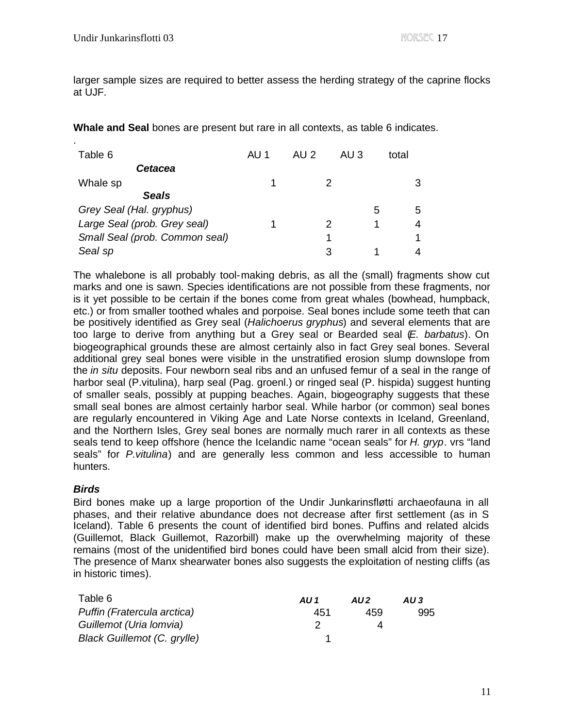.

larger sample sizes are required to better assess the herding strategy of the caprine flocks at UJF.

**Whale and Seal** bones are present but rare in all contexts, as table 6 indicates.

| Table 6                        | AU 1 | AU 2 | AU 3 |   | total |
|--------------------------------|------|------|------|---|-------|
| Cetacea                        |      |      |      |   |       |
| Whale sp                       |      |      |      |   |       |
| <b>Seals</b>                   |      |      |      |   |       |
| Grey Seal (Hal. gryphus)       |      |      |      | 5 | 5     |
| Large Seal (prob. Grey seal)   |      |      |      |   |       |
| Small Seal (prob. Common seal) |      |      |      |   |       |
| Seal sp                        |      |      |      |   |       |

The whalebone is all probably tool-making debris, as all the (small) fragments show cut marks and one is sawn. Species identifications are not possible from these fragments, nor is it yet possible to be certain if the bones come from great whales (bowhead, humpback, etc.) or from smaller toothed whales and porpoise. Seal bones include some teeth that can be positively identified as Grey seal (*Halichoerus gryphus*) and several elements that are too large to derive from anything but a Grey seal or Bearded seal (*E. barbatus*). On biogeographical grounds these are almost certainly also in fact Grey seal bones. Several additional grey seal bones were visible in the unstratified erosion slump downslope from the *in situ* deposits. Four newborn seal ribs and an unfused femur of a seal in the range of harbor seal (P.vitulina), harp seal (Pag. groenl.) or ringed seal (P. hispida) suggest hunting of smaller seals, possibly at pupping beaches. Again, biogeography suggests that these small seal bones are almost certainly harbor seal. While harbor (or common) seal bones are regularly encountered in Viking Age and Late Norse contexts in Iceland, Greenland, and the Northern Isles, Grey seal bones are normally much rarer in all contexts as these seals tend to keep offshore (hence the Icelandic name "ocean seals" for *H. gryp*. vrs "land seals" for *P.vitulina*) and are generally less common and less accessible to human hunters.

# *Birds*

Bird bones make up a large proportion of the Undir Junkarinsfløtti archaeofauna in all phases, and their relative abundance does not decrease after first settlement (as in S Iceland). Table 6 presents the count of identified bird bones. Puffins and related alcids (Guillemot, Black Guillemot, Razorbill) make up the overwhelming majority of these remains (most of the unidentified bird bones could have been small alcid from their size). The presence of Manx shearwater bones also suggests the exploitation of nesting cliffs (as in historic times).

| Table 6                     | AU 1 | AU <sub>2</sub> | AU3 |
|-----------------------------|------|-----------------|-----|
| Puffin (Fratercula arctica) | 451  | 459             | 995 |
| Guillemot (Uria Iomvia)     |      |                 |     |
| Black Guillemot (C. grylle) |      |                 |     |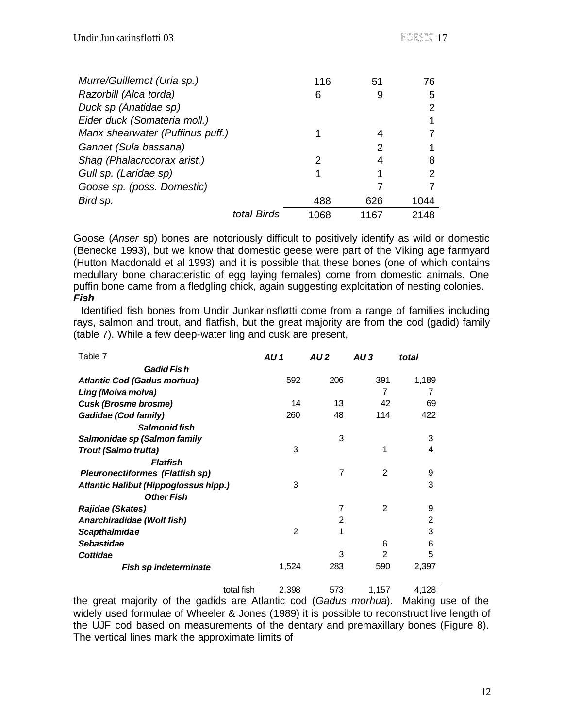| Murre/Guillemot (Uria sp.)       |             | 116  | 51   | 76   |
|----------------------------------|-------------|------|------|------|
| Razorbill (Alca torda)           |             | 6    | 9    | 5    |
| Duck sp (Anatidae sp)            |             |      |      |      |
| Eider duck (Somateria moll.)     |             |      |      |      |
| Manx shearwater (Puffinus puff.) |             |      |      |      |
| Gannet (Sula bassana)            |             |      | 2    |      |
| Shag (Phalacrocorax arist.)      |             | 2    | 4    | 8    |
| Gull sp. (Laridae sp)            |             |      |      | 2    |
| Goose sp. (poss. Domestic)       |             |      |      |      |
| Bird sp.                         |             | 488  | 626  | 1044 |
|                                  | total Birds | 1068 | 1167 | 2148 |

Goose (*Anser* sp) bones are notoriously difficult to positively identify as wild or domestic (Benecke 1993), but we know that domestic geese were part of the Viking age farmyard (Hutton Macdonald et al 1993) and it is possible that these bones (one of which contains medullary bone characteristic of egg laying females) come from domestic animals. One puffin bone came from a fledgling chick, again suggesting exploitation of nesting colonies. *Fish*

 Identified fish bones from Undir Junkarinsfløtti come from a range of families including rays, salmon and trout, and flatfish, but the great majority are from the cod (gadid) family (table 7). While a few deep-water ling and cusk are present,

| Table 7                                | AU 1           | AU <sub>2</sub> | AU3            | total |
|----------------------------------------|----------------|-----------------|----------------|-------|
| Gadid Fis h                            |                |                 |                |       |
| <b>Atlantic Cod (Gadus morhua)</b>     | 592            | 206             | 391            | 1,189 |
| Ling (Molva molva)                     |                |                 | 7              | 7     |
| <b>Cusk (Brosme brosme)</b>            | 14             | 13              | 42             | 69    |
| Gadidae (Cod family)                   | 260            | 48              | 114            | 422   |
| Salmonid fish                          |                |                 |                |       |
| Salmonidae sp (Salmon family           |                | 3               |                | 3     |
| Trout (Salmo trutta)                   | 3              |                 | 1              | 4     |
| Flatfish                               |                |                 |                |       |
| <b>Pleuronectiformes (Flatfish sp)</b> |                | 7               | 2              | 9     |
| Atlantic Halibut (Hippoglossus hipp.)  | 3              |                 |                | 3     |
| <b>Other Fish</b>                      |                |                 |                |       |
| Rajidae (Skates)                       |                | 7               | $\overline{2}$ | 9     |
| Anarchiradidae (Wolf fish)             |                | 2               |                | 2     |
| <b>Scapthalmidae</b>                   | $\mathfrak{p}$ | 1               |                | 3     |
| <b>Sebastidae</b>                      |                |                 | 6              | 6     |
| Cottidae                               |                | 3               | 2              | 5     |
| <b>Fish sp indeterminate</b>           | 1,524          | 283             | 590            | 2,397 |
| total fish                             | 2,398          | 573             | 1,157          | 4,128 |

the great majority of the gadids are Atlantic cod (*Gadus morhua*). Making use of the widely used formulae of Wheeler & Jones (1989) it is possible to reconstruct live length of the UJF cod based on measurements of the dentary and premaxillary bones (Figure 8). The vertical lines mark the approximate limits of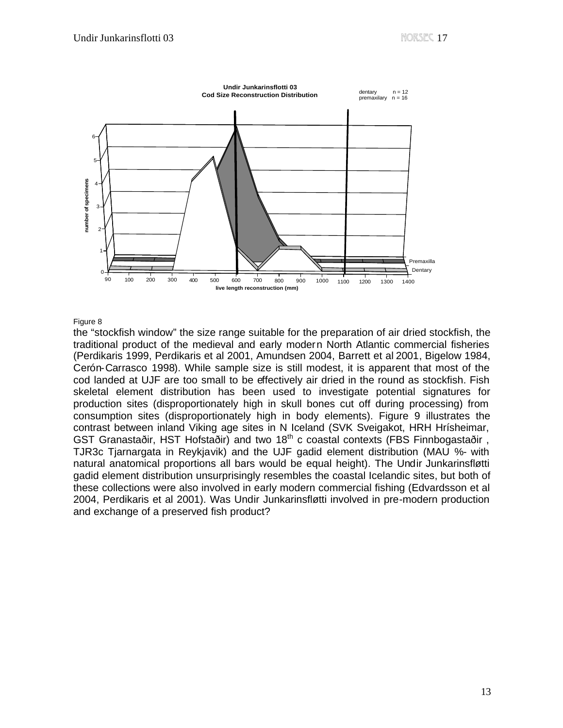

#### Figure 8

the "stockfish window" the size range suitable for the preparation of air dried stockfish, the traditional product of the medieval and early modern North Atlantic commercial fisheries (Perdikaris 1999, Perdikaris et al 2001, Amundsen 2004, Barrett et al 2001, Bigelow 1984, Cerón-Carrasco 1998). While sample size is still modest, it is apparent that most of the cod landed at UJF are too small to be effectively air dried in the round as stockfish. Fish skeletal element distribution has been used to investigate potential signatures for production sites (disproportionately high in skull bones cut off during processing) from consumption sites (disproportionately high in body elements). Figure 9 illustrates the contrast between inland Viking age sites in N Iceland (SVK Sveigakot, HRH Hrísheimar, GST Granastaðir, HST Hofstaðir) and two 18<sup>th</sup> c coastal contexts (FBS Finnbogastaðir, TJR3c Tjarnargata in Reykjavik) and the UJF gadid element distribution (MAU %- with natural anatomical proportions all bars would be equal height). The Undir Junkarinsfløtti gadid element distribution unsurprisingly resembles the coastal Icelandic sites, but both of these collections were also involved in early modern commercial fishing (Edvardsson et al 2004, Perdikaris et al 2001). Was Undir Junkarinsfløtti involved in pre-modern production and exchange of a preserved fish product?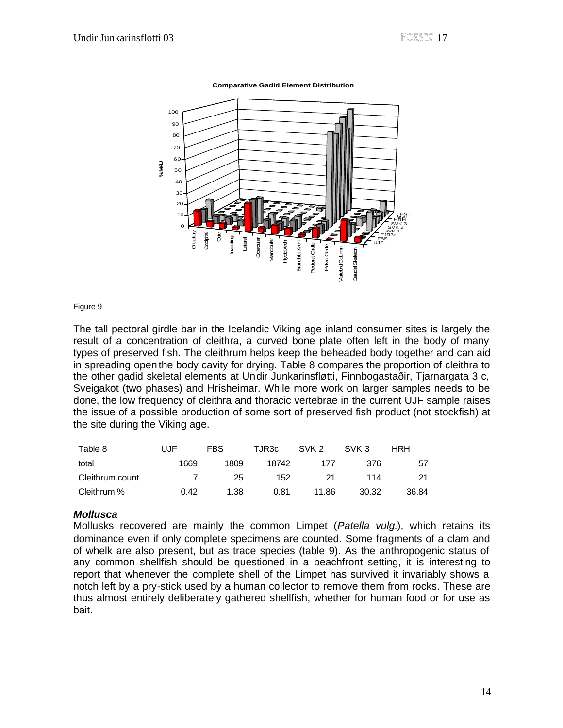**Comparative Gadid Element Distribution**



#### Figure 9

The tall pectoral girdle bar in the Icelandic Viking age inland consumer sites is largely the result of a concentration of cleithra, a curved bone plate often left in the body of many types of preserved fish. The cleithrum helps keep the beheaded body together and can aid in spreading open the body cavity for drying. Table 8 compares the proportion of cleithra to the other gadid skeletal elements at Undir Junkarinsfløtti, Finnbogastaðir, Tjarnargata 3 c, Sveigakot (two phases) and Hrísheimar. While more work on larger samples needs to be done, the low frequency of cleithra and thoracic vertebrae in the current UJF sample raises the issue of a possible production of some sort of preserved fish product (not stockfish) at the site during the Viking age.

| Table 8         | UJF  | <b>FBS</b> | TJR3c | SVK 2 | SVK 3 | HRH   |
|-----------------|------|------------|-------|-------|-------|-------|
| total           | 1669 | 1809       | 18742 | 177   | 376   | 57    |
| Cleithrum count |      | 25         | 152   | 21    | 114   |       |
| Cleithrum %     | 0.42 | 1.38       | 0.81  | 11.86 | 30.32 | 36.84 |

## *Mollusca*

Mollusks recovered are mainly the common Limpet (*Patella vulg*.), which retains its dominance even if only complete specimens are counted. Some fragments of a clam and of whelk are also present, but as trace species (table 9). As the anthropogenic status of any common shellfish should be questioned in a beachfront setting, it is interesting to report that whenever the complete shell of the Limpet has survived it invariably shows a notch left by a pry-stick used by a human collector to remove them from rocks. These are thus almost entirely deliberately gathered shellfish, whether for human food or for use as bait.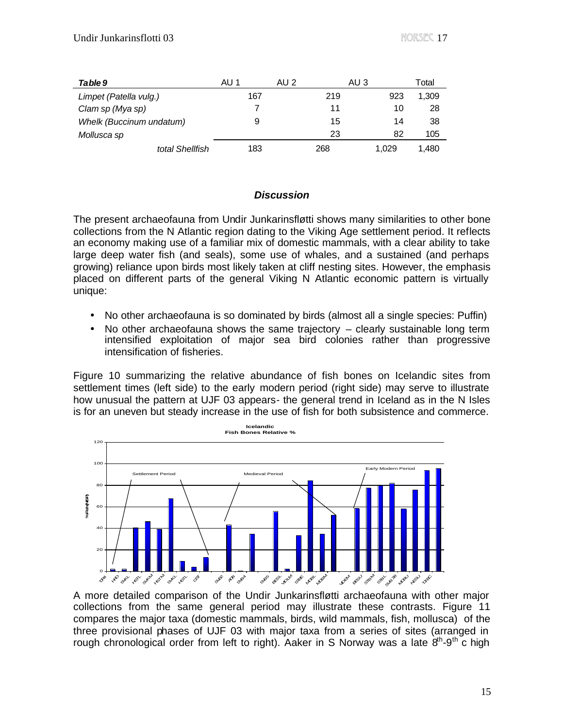| Table 9                  | AU 1 | AU 2 | AU 3  | Total |
|--------------------------|------|------|-------|-------|
| Limpet (Patella vulg.)   | 167  | 219  | 923   | 1,309 |
| Clam sp (Mya sp)         |      | 11   | 10    | 28    |
| Whelk (Buccinum undatum) | 9    | 15   | 14    | 38    |
| Mollusca sp              |      | 23   | 82    | 105   |
| total Shellfish          | 183  | 268  | 1.029 | 1.480 |

# *Discussion*

The present archaeofauna from Undir Junkarinsfløtti shows many similarities to other bone collections from the N Atlantic region dating to the Viking Age settlement period. It reflects an economy making use of a familiar mix of domestic mammals, with a clear ability to take large deep water fish (and seals), some use of whales, and a sustained (and perhaps growing) reliance upon birds most likely taken at cliff nesting sites. However, the emphasis placed on different parts of the general Viking N Atlantic economic pattern is virtually unique:

- No other archaeofauna is so dominated by birds (almost all a single species: Puffin)
- No other archaeofauna shows the same trajectory  $-$  clearly sustainable long term intensified exploitation of major sea bird colonies rather than progressive intensification of fisheries.

Figure 10 summarizing the relative abundance of fish bones on Icelandic sites from settlement times (left side) to the early modern period (right side) may serve to illustrate how unusual the pattern at UJF 03 appears- the general trend in Iceland as in the N Isles is for an uneven but steady increase in the use of fish for both subsistence and commerce.



A more detailed comparison of the Undir Junkarinsfløtti archaeofauna with other major collections from the same general period may illustrate these contrasts. Figure 11 compares the major taxa (domestic mammals, birds, wild mammals, fish, mollusca) of the three provisional phases of UJF 03 with major taxa from a series of sites (arranged in rough chronological order from left to right). Aaker in S Norway was a late  $8<sup>th</sup>-9<sup>th</sup>$  c high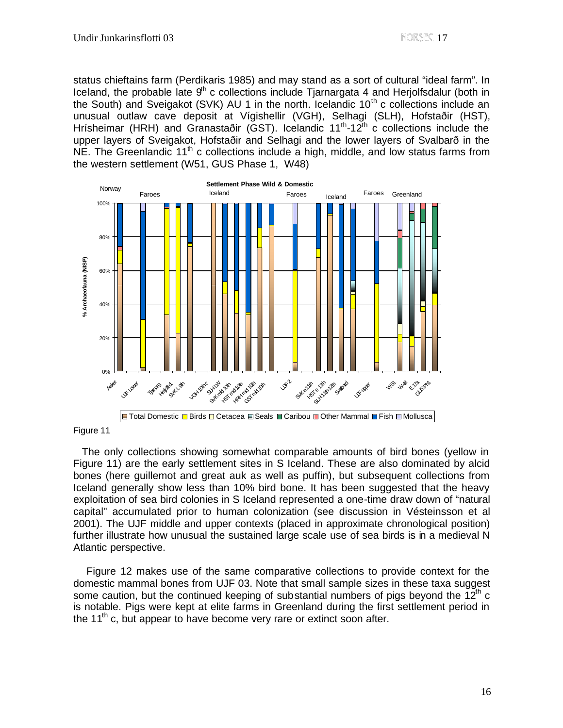status chieftains farm (Perdikaris 1985) and may stand as a sort of cultural "ideal farm". In Iceland, the probable late  $9<sup>th</sup>$  c collections include Tjarnargata 4 and Herjolfsdalur (both in the South) and Sveigakot (SVK) AU 1 in the north. Icelandic  $10<sup>th</sup>$  c collections include an unusual outlaw cave deposit at Vígishellir (VGH), Selhagi (SLH), Hofstaðir (HST), Hrísheimar (HRH) and Granastaðir (GST). Icelandic 11<sup>th</sup>-12<sup>th</sup> c collections include the upper layers of Sveigakot, Hofstaðir and Selhagi and the lower layers of Svalbarð in the  $NE$ . The Greenlandic 11<sup>th</sup> c collections include a high, middle, and low status farms from the western settlement (W51, GUS Phase 1, W48)



Figure 11

 The only collections showing somewhat comparable amounts of bird bones (yellow in Figure 11) are the early settlement sites in S Iceland. These are also dominated by alcid bones (here guillemot and great auk as well as puffin), but subsequent collections from Iceland generally show less than 10% bird bone. It has been suggested that the heavy exploitation of sea bird colonies in S Iceland represented a one-time draw down of "natural capital" accumulated prior to human colonization (see discussion in Vésteinsson et al 2001). The UJF middle and upper contexts (placed in approximate chronological position) further illustrate how unusual the sustained large scale use of sea birds is in a medieval N Atlantic perspective.

 Figure 12 makes use of the same comparative collections to provide context for the domestic mammal bones from UJF 03. Note that small sample sizes in these taxa suggest some caution, but the continued keeping of substantial numbers of pigs beyond the  $12<sup>th</sup>$  c is notable. Pigs were kept at elite farms in Greenland during the first settlement period in the 11<sup>th</sup> c, but appear to have become very rare or extinct soon after.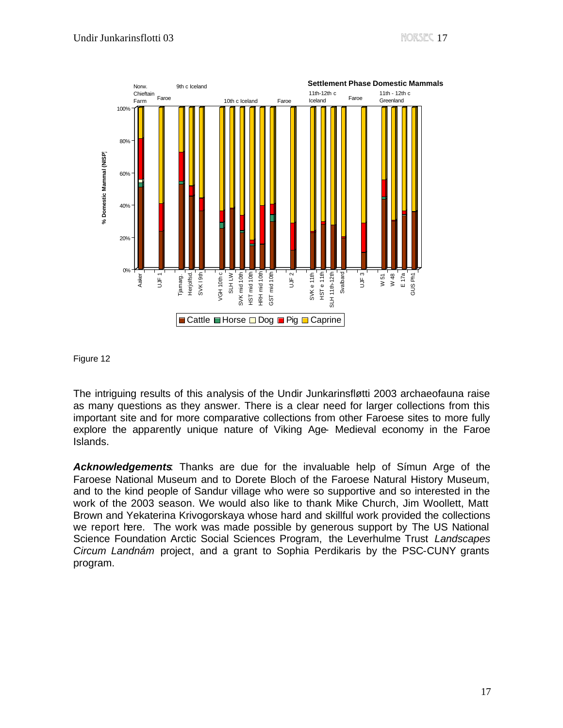

Figure 12

The intriguing results of this analysis of the Undir Junkarinsfløtti 2003 archaeofauna raise as many questions as they answer. There is a clear need for larger collections from this important site and for more comparative collections from other Faroese sites to more fully explore the apparently unique nature of Viking Age- Medieval economy in the Faroe Islands.

*Acknowledgements*: Thanks are due for the invaluable help of Símun Arge of the Faroese National Museum and to Dorete Bloch of the Faroese Natural History Museum, and to the kind people of Sandur village who were so supportive and so interested in the work of the 2003 season. We would also like to thank Mike Church, Jim Woollett, Matt Brown and Yekaterina Krivogorskaya whose hard and skillful work provided the collections we report here. The work was made possible by generous support by The US National Science Foundation Arctic Social Sciences Program, the Leverhulme Trust *Landscapes Circum Landnám* project, and a grant to Sophia Perdikaris by the PSC-CUNY grants program.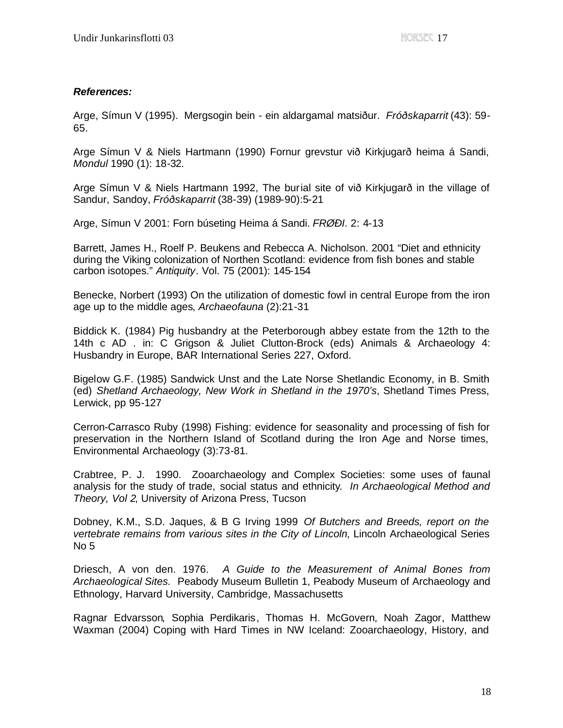# *References:*

Arge, Símun V (1995). Mergsogin bein - ein aldargamal matsiður. *Fróðskaparrit* (43): 59- 65.

Arge Símun V & Niels Hartmann (1990) Fornur grevstur við Kirkjugarð heima á Sandi, *Mondul* 1990 (1): 18-32.

Arge Símun V & Niels Hartmann 1992, The burial site of við Kirkjugarð in the village of Sandur, Sandoy, *Fróðskaparrit* (38-39) (1989-90):5-21

Arge, Símun V 2001: Forn búseting Heima á Sandi. *FRØÐI*. 2: 4-13

Barrett, James H., Roelf P. Beukens and Rebecca A. Nicholson. 2001 "Diet and ethnicity during the Viking colonization of Northen Scotland: evidence from fish bones and stable carbon isotopes." *Antiquity*. Vol. 75 (2001): 145-154

Benecke, Norbert (1993) On the utilization of domestic fowl in central Europe from the iron age up to the middle ages, *Archaeofauna* (2):21-31

Biddick K. (1984) Pig husbandry at the Peterborough abbey estate from the 12th to the 14th c AD . in: C Grigson & Juliet Clutton-Brock (eds) Animals & Archaeology 4: Husbandry in Europe, BAR International Series 227, Oxford.

Bigelow G.F. (1985) Sandwick Unst and the Late Norse Shetlandic Economy, in B. Smith (ed) *Shetland Archaeology, New Work in Shetland in the 1970's*, Shetland Times Press, Lerwick, pp 95-127

Cerron-Carrasco Ruby (1998) Fishing: evidence for seasonality and processing of fish for preservation in the Northern Island of Scotland during the Iron Age and Norse times, Environmental Archaeology (3):73-81.

Crabtree, P. J. 1990. Zooarchaeology and Complex Societies: some uses of faunal analysis for the study of trade, social status and ethnicity*. In Archaeological Method and Theory, Vol 2*, University of Arizona Press, Tucson

Dobney, K.M., S.D. Jaques, & B G Irving 1999 *Of Butchers and Breeds, report on the vertebrate remains from various sites in the City of Lincoln*, Lincoln Archaeological Series No 5

Driesch, A von den. 1976. *A Guide to the Measurement of Animal Bones from Archaeological Sites.* Peabody Museum Bulletin 1, Peabody Museum of Archaeology and Ethnology, Harvard University, Cambridge, Massachusetts

Ragnar Edvarsson, Sophia Perdikaris, Thomas H. McGovern, Noah Zagor, Matthew Waxman (2004) Coping with Hard Times in NW Iceland: Zooarchaeology, History, and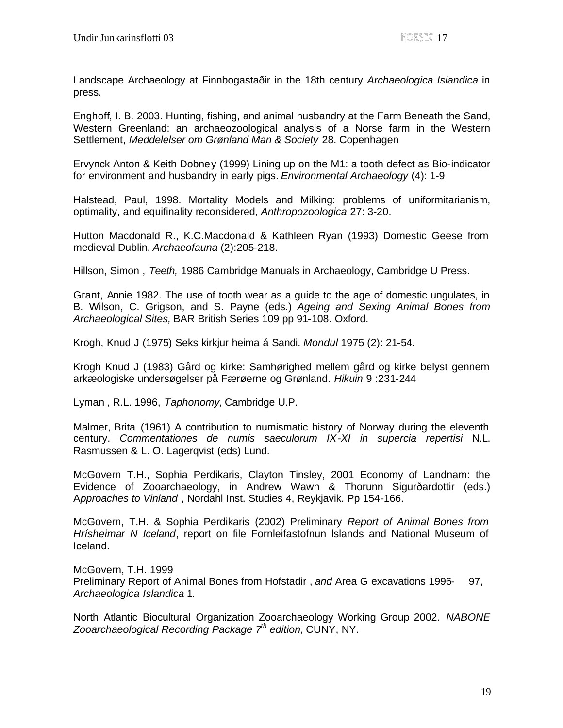Landscape Archaeology at Finnbogastaðir in the 18th century *Archaeologica Islandica* in press.

Enghoff, I. B. 2003. Hunting, fishing, and animal husbandry at the Farm Beneath the Sand, Western Greenland: an archaeozoological analysis of a Norse farm in the Western Settlement, *Meddelelser om Grønland Man & Society* 28. Copenhagen

Ervynck Anton & Keith Dobney (1999) Lining up on the M1: a tooth defect as Bio-indicator for environment and husbandry in early pigs. *Environmental Archaeology* (4): 1-9

Halstead, Paul, 1998. Mortality Models and Milking: problems of uniformitarianism, optimality, and equifinality reconsidered, *Anthropozoologica* 27: 3-20.

Hutton Macdonald R., K.C.Macdonald & Kathleen Ryan (1993) Domestic Geese from medieval Dublin, *Archaeofauna* (2):205-218.

Hillson, Simon , *Teeth,* 1986 Cambridge Manuals in Archaeology, Cambridge U Press.

Grant, Annie 1982. The use of tooth wear as a guide to the age of domestic ungulates, in B. Wilson, C. Grigson, and S. Payne (eds.) *Ageing and Sexing Animal Bones from Archaeological Sites,* BAR British Series 109 pp 91-108. Oxford.

Krogh, Knud J (1975) Seks kirkjur heima á Sandi. *Mondul* 1975 (2): 21-54.

Krogh Knud J (1983) Gård og kirke: Samhørighed mellem gård og kirke belyst gennem arkæologiske undersøgelser på Færøerne og Grønland. *Hikuin* 9 :231-244

Lyman , R.L. 1996, *Taphonomy*, Cambridge U.P.

Malmer, Brita (1961) A contribution to numismatic history of Norway during the eleventh century. *Commentationes de numis saeculorum IX-XI in supercia repertisi* N.L. Rasmussen & L. O. Lagerqvist (eds) Lund.

McGovern T.H., Sophia Perdikaris, Clayton Tinsley, 2001 Economy of Landnam: the Evidence of Zooarchaeology, in Andrew Wawn & Thorunn Sigurðardottir (eds.) A*pproaches to Vinland* , Nordahl Inst. Studies 4, Reykjavik. Pp 154-166.

McGovern, T.H. & Sophia Perdikaris (2002) Preliminary *Report of Animal Bones from Hrísheimar N Iceland*, report on file Fornleifastofnun lslands and National Museum of Iceland.

McGovern, T.H. 1999 Preliminary Report of Animal Bones from Hofstadir , *and* Area G excavations 1996- 97, *Archaeologica Islandica* 1.

North Atlantic Biocultural Organization Zooarchaeology Working Group 2002. *NABONE Zooarchaeological Recording Package 7th edition*, CUNY, NY.